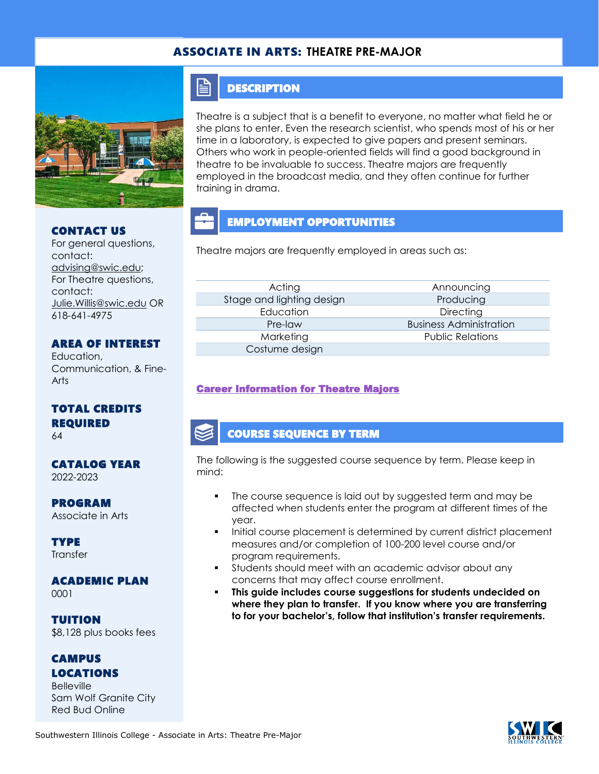## ASSOCIATE IN ARTS: **THEATRE PRE-MAJOR**



#### CONTACT US

For general questions, contact: [advising@swic.edu;](mailto:advising@swic.edu) For Theatre questions, contact: [Julie.Willis@swic.edu](mailto:Julie.Willis@swic.edu) OR 618-641-4975

#### AREA OF INTEREST

Education, Communication, & Fine-Arts

# TOTAL CREDITS REQUIRED

64

#### CATALOG YEAR 2022-2023

PROGRAM Associate in Arts

**TYPE Transfer** 

### ACADEMIC PLAN

0001

TUITION \$8,128 plus books fees

### CAMPUS LOCATIONS

Belleville Sam Wolf Granite City Red Bud Online

# **DESCRIPTION**

FI

Theatre is a subject that is a benefit to everyone, no matter what field he or she plans to enter. Even the research scientist, who spends most of his or her time in a laboratory, is expected to give papers and present seminars. Others who work in people-oriented fields will find a good background in theatre to be invaluable to success. Theatre majors are frequently employed in the broadcast media, and they often continue for further training in drama.

# EMPLOYMENT OPPORTUNITIES

Theatre majors are frequently employed in areas such as:

Acting **Announcing** Stage and lighting design **Producing** Producing Education Directing Marketing **Marketing Relations** Public Relations Costume design

Pre-law Business Administration

### [Career Information for Theatre Majors](https://www.onetonline.org/find/quick?s=theatre)

### COURSE SEQUENCE BY TERM

The following is the suggested course sequence by term. Please keep in mind:

- The course sequence is laid out by suggested term and may be affected when students enter the program at different times of the year.
- Initial course placement is determined by current district placement measures and/or completion of 100-200 level course and/or program requirements.
- Students should meet with an academic advisor about any concerns that may affect course enrollment.
- This guide includes course suggestions for students undecided on **where they plan to transfer. If you know where you are transferring to for your bachelor's, follow that institution's transfer requirements.**